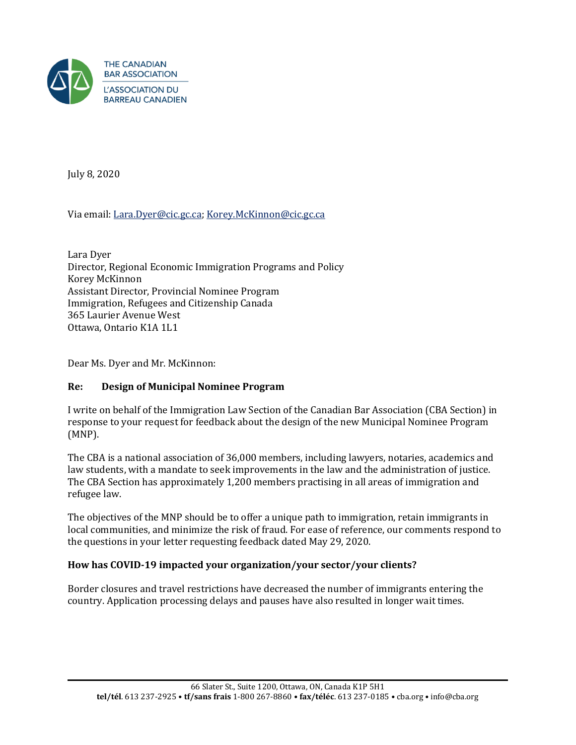

July 8, 2020

# Via email: [Lara.Dyer@cic.gc.ca;](mailto:Lara.Dyer@cic.gc.ca) [Korey.McKinnon@cic.gc.ca](mailto:Korey.McKinnon@cic.gc.ca)

Lara Dyer Director, Regional Economic Immigration Programs and Policy Korey McKinnon Assistant Director, Provincial Nominee Program Immigration, Refugees and Citizenship Canada 365 Laurier Avenue West Ottawa, Ontario K1A 1L1

Dear Ms. Dyer and Mr. McKinnon:

# **Re: Design of Municipal Nominee Program**

I write on behalf of the Immigration Law Section of the Canadian Bar Association (CBA Section) in response to your request for feedback about the design of the new Municipal Nominee Program (MNP).

The CBA is a national association of 36,000 members, including lawyers, notaries, academics and law students, with a mandate to seek improvements in the law and the administration of justice. The CBA Section has approximately 1,200 members practising in all areas of immigration and refugee law.

The objectives of the MNP should be to offer a unique path to immigration, retain immigrants in local communities, and minimize the risk of fraud. For ease of reference, our comments respond to the questions in your letter requesting feedback dated May 29, 2020.

#### **How has COVID-19 impacted your organization/your sector/your clients?**

Border closures and travel restrictions have decreased the number of immigrants entering the country. Application processing delays and pauses have also resulted in longer wait times.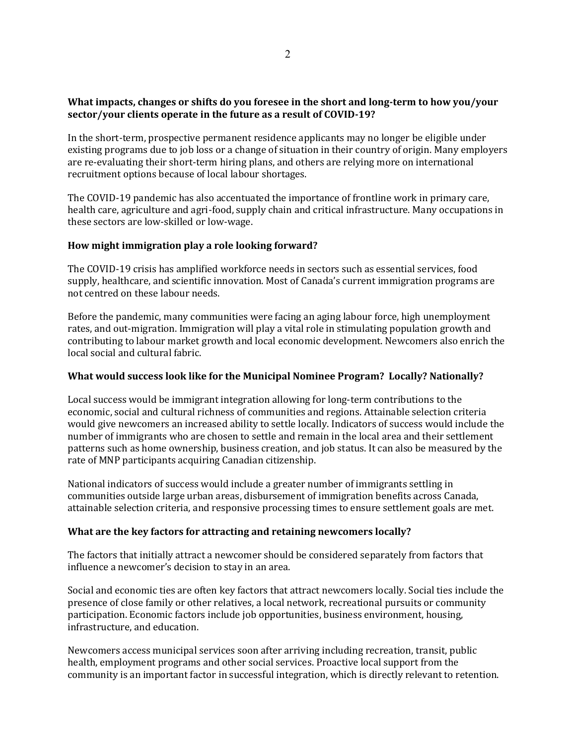## **What impacts, changes or shifts do you foresee in the short and long-term to how you/your sector/your clients operate in the future as a result of COVID-19?**

In the short-term, prospective permanent residence applicants may no longer be eligible under existing programs due to job loss or a change of situation in their country of origin. Many employers are re-evaluating their short-term hiring plans, and others are relying more on international recruitment options because of local labour shortages.

The COVID-19 pandemic has also accentuated the importance of frontline work in primary care, health care, agriculture and agri-food, supply chain and critical infrastructure. Many occupations in these sectors are low-skilled or low-wage.

## **How might immigration play a role looking forward?**

The COVID-19 crisis has amplified workforce needs in sectors such as essential services, food supply, healthcare, and scientific innovation. Most of Canada's current immigration programs are not centred on these labour needs.

Before the pandemic, many communities were facing an aging labour force, high unemployment rates, and out-migration. Immigration will play a vital role in stimulating population growth and contributing to labour market growth and local economic development. Newcomers also enrich the local social and cultural fabric.

#### **What would success look like for the Municipal Nominee Program? Locally? Nationally?**

Local success would be immigrant integration allowing for long-term contributions to the economic, social and cultural richness of communities and regions. Attainable selection criteria would give newcomers an increased ability to settle locally. Indicators of success would include the number of immigrants who are chosen to settle and remain in the local area and their settlement patterns such as home ownership, business creation, and job status. It can also be measured by the rate of MNP participants acquiring Canadian citizenship.

National indicators of success would include a greater number of immigrants settling in communities outside large urban areas, disbursement of immigration benefits across Canada, attainable selection criteria, and responsive processing times to ensure settlement goals are met.

# **What are the key factors for attracting and retaining newcomers locally?**

The factors that initially attract a newcomer should be considered separately from factors that influence a newcomer's decision to stay in an area.

Social and economic ties are often key factors that attract newcomers locally. Social ties include the presence of close family or other relatives, a local network, recreational pursuits or community participation. Economic factors include job opportunities, business environment, housing, infrastructure, and education.

Newcomers access municipal services soon after arriving including recreation, transit, public health, employment programs and other social services. Proactive local support from the community is an important factor in successful integration, which is directly relevant to retention.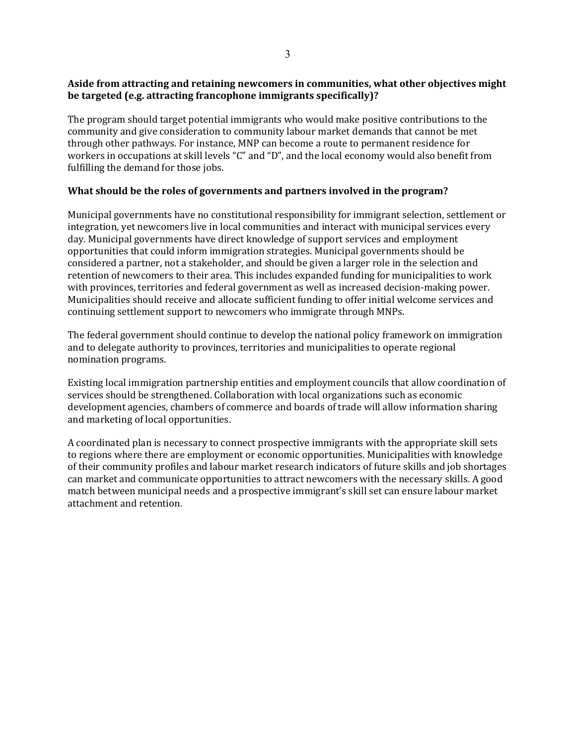# **Aside from attracting and retaining newcomers in communities, what other objectives might be targeted (e.g. attracting francophone immigrants specifically)?**

The program should target potential immigrants who would make positive contributions to the community and give consideration to community labour market demands that cannot be met through other pathways. For instance, MNP can become a route to permanent residence for workers in occupations at skill levels "C" and "D", and the local economy would also benefit from fulfilling the demand for those jobs.

# **What should be the roles of governments and partners involved in the program?**

Municipal governments have no constitutional responsibility for immigrant selection, settlement or integration, yet newcomers live in local communities and interact with municipal services every day. Municipal governments have direct knowledge of support services and employment opportunities that could inform immigration strategies. Municipal governments should be considered a partner, not a stakeholder, and should be given a larger role in the selection and retention of newcomers to their area. This includes expanded funding for municipalities to work with provinces, territories and federal government as well as increased decision-making power. Municipalities should receive and allocate sufficient funding to offer initial welcome services and continuing settlement support to newcomers who immigrate through MNPs.

The federal government should continue to develop the national policy framework on immigration and to delegate authority to provinces, territories and municipalities to operate regional nomination programs.

Existing local immigration partnership entities and employment councils that allow coordination of services should be strengthened. Collaboration with local organizations such as economic development agencies, chambers of commerce and boards of trade will allow information sharing and marketing of local opportunities.

A coordinated plan is necessary to connect prospective immigrants with the appropriate skill sets to regions where there are employment or economic opportunities. Municipalities with knowledge of their community profiles and labour market research indicators of future skills and job shortages can market and communicate opportunities to attract newcomers with the necessary skills. A good match between municipal needs and a prospective immigrant's skill set can ensure labour market attachment and retention.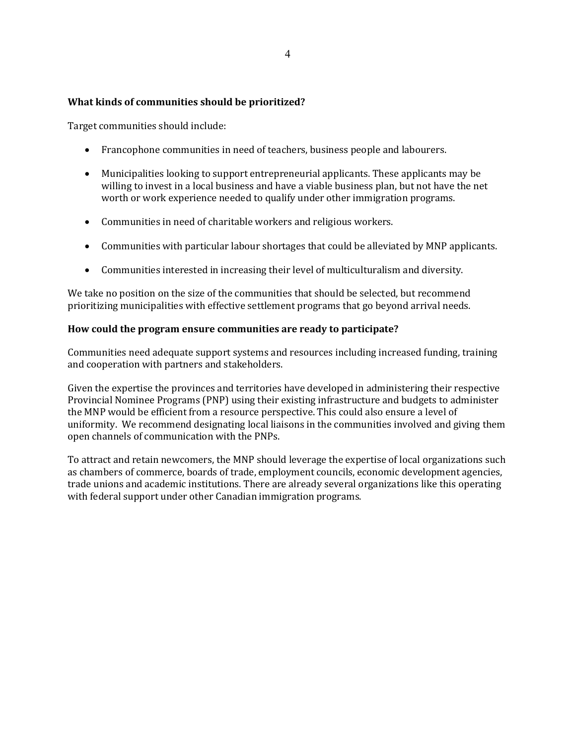## **What kinds of communities should be prioritized?**

Target communities should include:

- Francophone communities in need of teachers, business people and labourers.
- Municipalities looking to support entrepreneurial applicants. These applicants may be willing to invest in a local business and have a viable business plan, but not have the net worth or work experience needed to qualify under other immigration programs.
- Communities in need of charitable workers and religious workers.
- Communities with particular labour shortages that could be alleviated by MNP applicants.
- Communities interested in increasing their level of multiculturalism and diversity.

We take no position on the size of the communities that should be selected, but recommend prioritizing municipalities with effective settlement programs that go beyond arrival needs.

## **How could the program ensure communities are ready to participate?**

Communities need adequate support systems and resources including increased funding, training and cooperation with partners and stakeholders.

Given the expertise the provinces and territories have developed in administering their respective Provincial Nominee Programs (PNP) using their existing infrastructure and budgets to administer the MNP would be efficient from a resource perspective. This could also ensure a level of uniformity. We recommend designating local liaisons in the communities involved and giving them open channels of communication with the PNPs.

To attract and retain newcomers, the MNP should leverage the expertise of local organizations such as chambers of commerce, boards of trade, employment councils, economic development agencies, trade unions and academic institutions. There are already several organizations like this operating with federal support under other Canadian immigration programs.